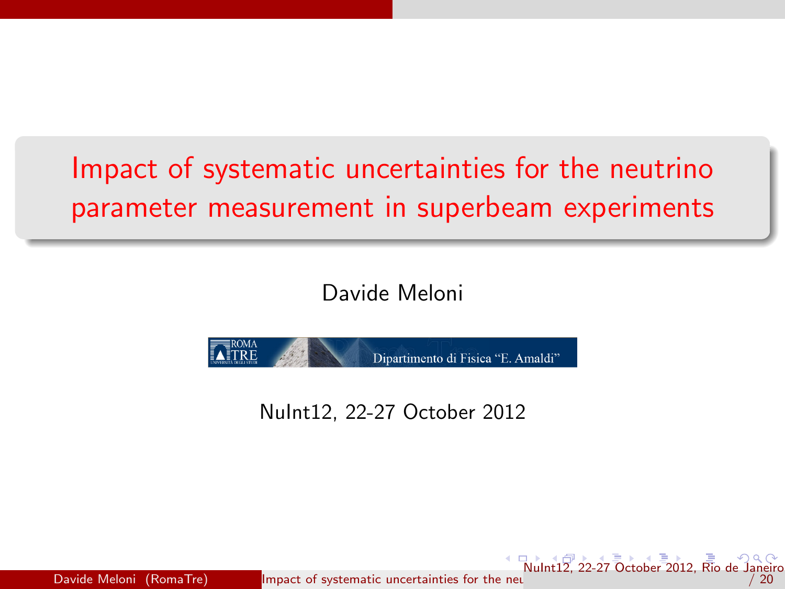# Impact of systematic uncertainties for the neutrino parameter measurement in superbeam experiments

Davide Meloni



<span id="page-0-0"></span>NuInt12, 22-27 October 2012

Davide Meloni (RomaTre) Impact of systematic uncertainties for the neutrino parameter measurement in super  $\frac{1}{2}$  [22](#page-1-0)[-27](#page-0-0) [O](#page-1-0)[cto](#page-2-0)[ber](#page-0-0) [2](#page-1-0)[01](#page-2-0)[2, R](#page-0-0)[io de](#page-19-0) Jane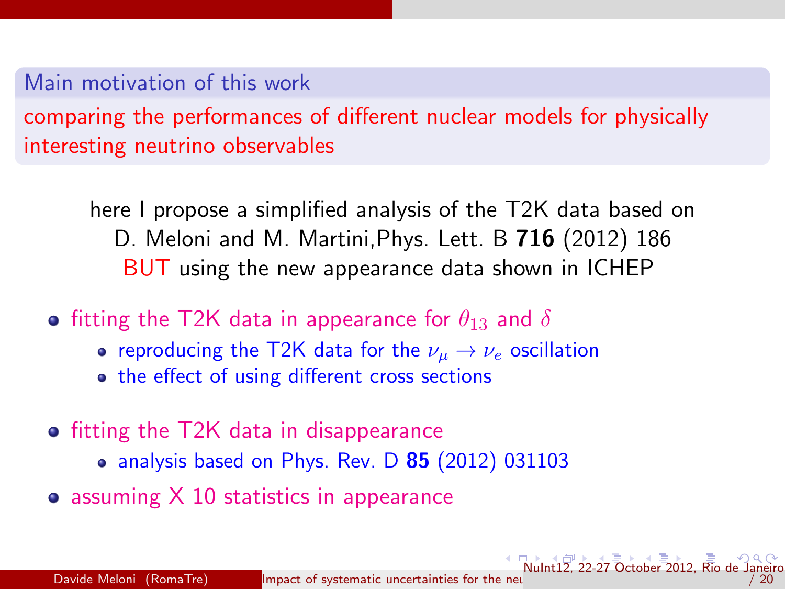### Main motivation of this work

comparing the performances of different nuclear models for physically interesting neutrino observables

here I propose a simplified analysis of the T2K data based on D. Meloni and M. Martini,Phys. Lett. B 716 (2012) 186 BUT using the new appearance data shown in ICHEP

- **•** fitting the T2K data in appearance for  $\theta_{13}$  and  $\delta$ 
	- reproducing the T2K data for the  $\nu_{\mu} \rightarrow \nu_{e}$  oscillation
	- the effect of using different cross sections
- fitting the T2K data in disappearance
	- $\bullet$  analysis based on Phys. Rev. D  $85$  (2012) 031103
- $\bullet$  assuming  $X$  10 statistics in appearance

<span id="page-1-0"></span> $\sqrt{\frac{1}{2}}$  22-27 October 20[12,](#page-1-0) R[io de](#page-19-0)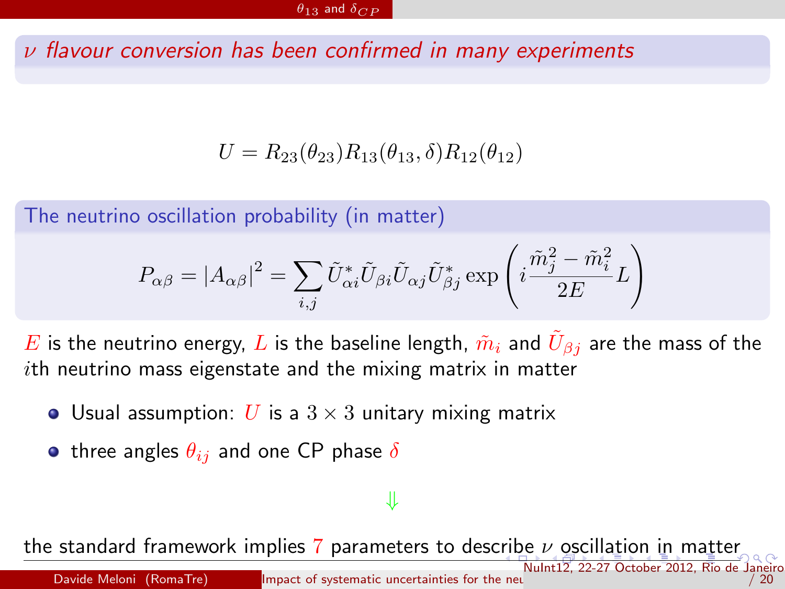$\nu$  flavour conversion has been confirmed in many experiments

 $U = R_{23}(\theta_{23})R_{13}(\theta_{13}, \delta)R_{12}(\theta_{12})$ 

The neutrino oscillation probability (in matter)

$$
P_{\alpha\beta} = |A_{\alpha\beta}|^2 = \sum_{i,j} \tilde{U}_{\alpha i}^* \tilde{U}_{\beta i} \tilde{U}_{\alpha j} \tilde{U}_{\beta j}^* \exp\left(i\frac{\tilde{m}_j^2 - \tilde{m}_i^2}{2E}L\right)
$$

 $E$  is the neutrino energy,  $L$  is the baseline length,  $\tilde{m}_i$  and  $\tilde{U}_{\beta j}$  are the mass of the ith neutrino mass eigenstate and the mixing matrix in matter

- Usual assumption: U is a  $3 \times 3$  unitary mixing matrix
- three angles  $\theta_{ij}$  and one CP phase  $\delta$

## <span id="page-2-0"></span>⇓

the standard framework implies 7 parameters to des[crib](#page-1-0)e $\nu$  $\nu$  $\nu$  [os](#page-2-0)[ci](#page-3-0)[ll](#page-1-0)[a](#page-2-0)[ti](#page-3-0)[o](#page-4-0)n [i](#page-2-0)n [ma](#page-0-0)[tter](#page-19-0) [NuI](#page-3-0)[nt1](#page-1-0)2, 22-27 October 2012, Rio de Janeiro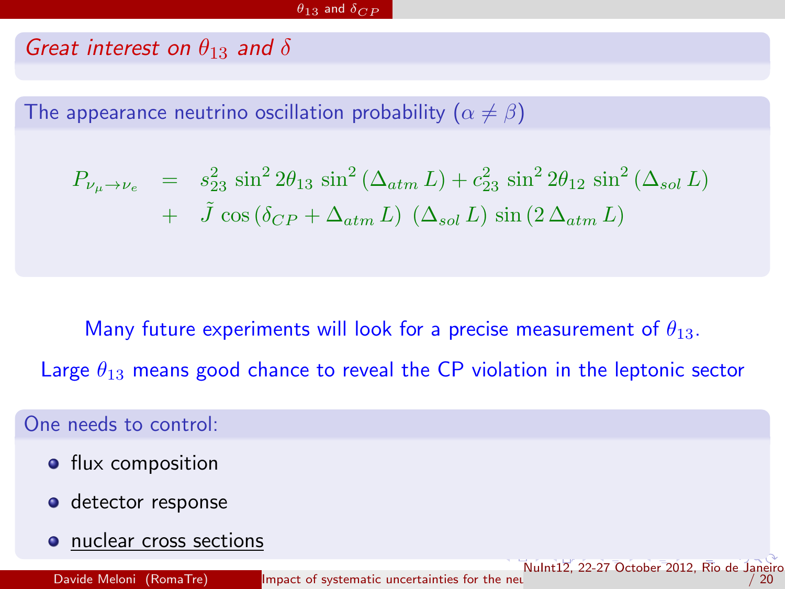#### Great interest on  $\theta_{13}$  and  $\delta$

The appearance neutrino oscillation probability  $(\alpha \neq \beta)$ 

$$
P_{\nu_{\mu} \to \nu_{e}} = s_{23}^{2} \sin^{2} 2\theta_{13} \sin^{2} (\Delta_{atm} L) + c_{23}^{2} \sin^{2} 2\theta_{12} \sin^{2} (\Delta_{sol} L)
$$
  
+  $\tilde{J} \cos (\delta_{CP} + \Delta_{atm} L) (\Delta_{sol} L) \sin (2 \Delta_{atm} L)$ 

Many future experiments will look for a precise measurement of  $\theta_{13}$ . Large  $\theta_{13}$  means good chance to reveal the CP violation in the leptonic sector

[NuI](#page-4-0)[nt](#page-2-0)[12,](#page-3-0) [22](#page-4-0)[-2](#page-1-0)[7](#page-2-0) [O](#page-3-0)[cto](#page-4-0)[be](#page-1-0)[r](#page-2-0) [2](#page-3-0)[01](#page-4-0)[2, R](#page-0-0)[io de](#page-19-0) Janeiro

<span id="page-3-0"></span> $/ 20$ 

One needs to control:

- **•** flux composition
- **o** detector response
- nuclear cross sections

Davide Meloni (RomaTre) [Impact of systematic uncertainties for the neutrino parameter measurement in superbeam experiments](#page-0-0) of parameter measurement in superbeam experiments in superbeam experiments of the neutrino paramete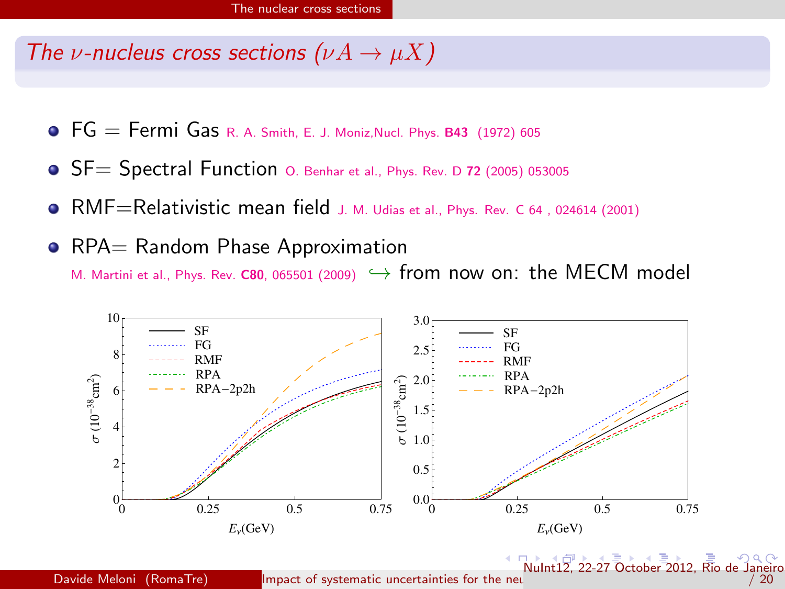#### The *v*-nucleus cross sections  $(\nu A \rightarrow \mu X)$

- $\bullet$  FG = Fermi Gas R. A. Smith, E. J. Moniz, Nucl. Phys. B43 (1972) 605
- **•** SF= Spectral Function 0. Benhar et al., Phys. Rev. D 72 (2005) 053005
- RMF=Relativistic mean field J. M. Udias et al., Phys. Rev. C 64 , 024614 (2001)
- RPA= Random Phase Approximation M. Martini et al., Phys. Rev. C80, 065501 (2009)  $\hookrightarrow$  from now on: the MECM model

<span id="page-4-0"></span>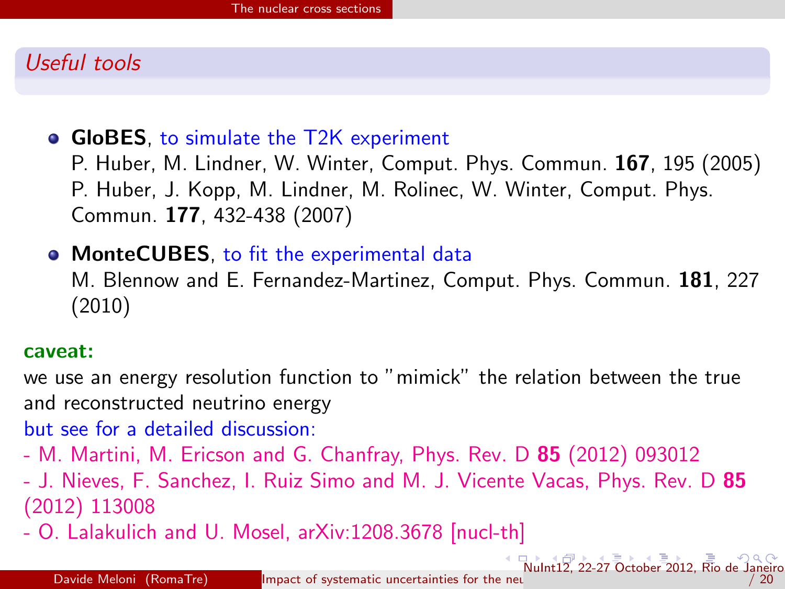#### Useful tools

#### • GloBES, to simulate the T2K experiment

P. Huber, M. Lindner, W. Winter, Comput. Phys. Commun. 167, 195 (2005) P. Huber, J. Kopp, M. Lindner, M. Rolinec, W. Winter, Comput. Phys. Commun. 177, 432-438 (2007)

• MonteCUBES, to fit the experimental data

M. Blennow and E. Fernandez-Martinez, Comput. Phys. Commun. 181, 227 (2010)

#### caveat:

we use an energy resolution function to "mimick" the relation between the true and reconstructed neutrino energy

but see for a detailed discussion:

- M. Martini, M. Ericson and G. Chanfray, Phys. Rev. D 85 (2012) 093012

- J. Nieves, F. Sanchez, I. Ruiz Simo and M. J. Vicente Vacas, Phys. Rev. D 85 (2012) 113008

<span id="page-5-0"></span>- O. Lalakulich and U. Mosel, arXiv:1208.3678 [nucl-th]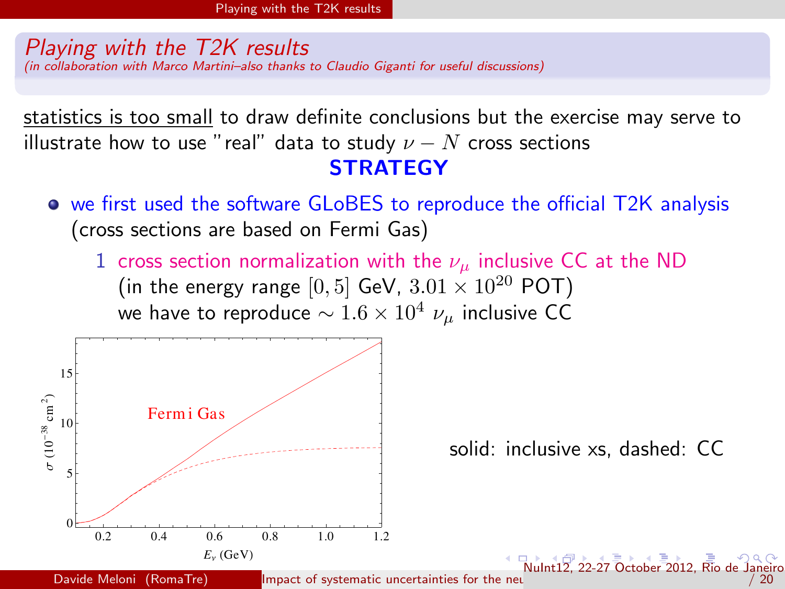#### Playing with the T2K results (in collaboration with Marco Martini–also thanks to Claudio Giganti for useful discussions)

statistics is too small to draw definite conclusions but the exercise may serve to illustrate how to use "real" data to study  $\nu - N$  cross sections **STRATEGY** 

- we first used the software GLoBES to reproduce the official T2K analysis (cross sections are based on Fermi Gas)
	- 1 cross section normalization with the  $\nu_{\mu}$  inclusive CC at the ND (in the energy range [0, 5] GeV,  $3.01 \times 10^{20}$  POT) we have to reproduce  $\sim 1.6 \times 10^4$   $\nu_\mu$  inclusive CC

<span id="page-6-0"></span>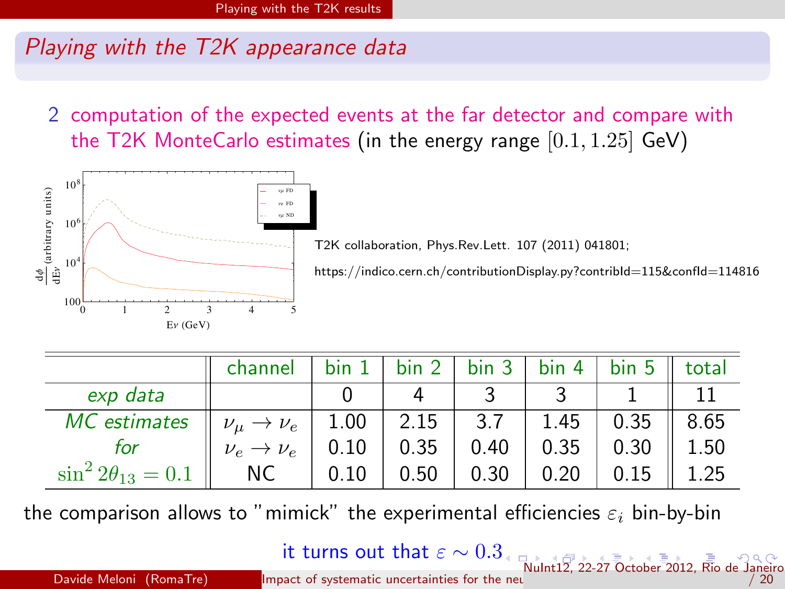2 computation of the expected events at the far detector and compare with the T2K MonteCarlo estimates (in the energy range  $[0.1, 1.25]$  GeV)



T2K collaboration, Phys.Rev.Lett. 107 (2011) 041801;

https://indico.cern.ch/contributionDisplay.py?contribId=115&confId=114816

<span id="page-7-0"></span> $/ 20$ 

|                                                                              | channel                   |      |      |                     |                     | bin $1$   bin $2$   bin $3$   bin $4$   bin $5$    total |      |
|------------------------------------------------------------------------------|---------------------------|------|------|---------------------|---------------------|----------------------------------------------------------|------|
| exp data                                                                     |                           |      |      |                     |                     |                                                          |      |
| <i>MC</i> estimates $\parallel \nu_{\mu} \rightarrow \nu_{e} \parallel 1.00$ |                           |      |      |                     | $2.15$   3.7   1.45 | $0.35$    8.65                                           |      |
| tor                                                                          | $\nu_e \rightarrow \nu_e$ | 0.10 |      | $0.35 \;   \; 0.40$ | $0.35$              | 0.30                                                     | 1.50 |
| $\sin^2 2\theta_{13} = 0.1$                                                  | $\parallel$ NC            | 0.10 | 0.50 | 0.30                | 0.20                | 0.15                                                     | 1.25 |

the comparison allows to "mimick" the experimental efficiencies  $\varepsilon_i$  bin-by-bin

it turns out that  $\varepsilon \sim 0.3$  $\varepsilon \sim 0.3$ 

[NuI](#page-8-0)[nt](#page-6-0)[12,](#page-7-0) [22](#page-8-0)[-2](#page-6-0)[7](#page-7-0) [O](#page-8-0)[cto](#page-9-0)[be](#page-6-0)[r](#page-7-0) [2](#page-8-0)[01](#page-9-0)[2, R](#page-0-0)[io de](#page-19-0) Janeiro<br>20 / 20 / 20 / 20 / 20 / 1mpact of systematic uncertainties for the neu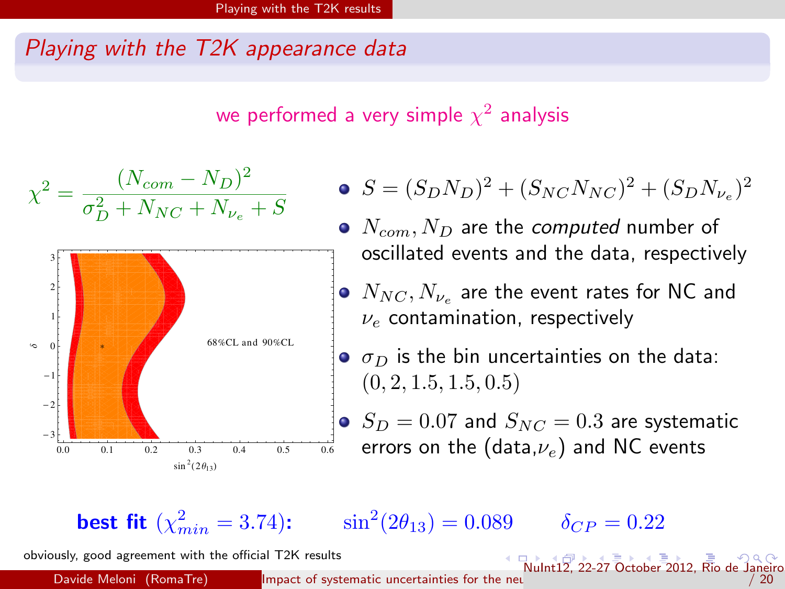we performed a very simple  $\chi^2$  analysis

$$
\chi^{2} = \frac{(N_{com} - N_{D})^{2}}{\sigma_{D}^{2} + N_{NC} + N_{\nu_{e}} + S}
$$

• 
$$
S = (S_D N_D)^2 + (S_{NC} N_{NC})^2 + (S_D N_{\nu_e})^2
$$

- $\bullet$   $N_{com}$ ,  $N_D$  are the computed number of oscillated events and the data, respectively
	- $N_{NC}, N_{\nu_e}$  are the event rates for NC and  $\nu_e$  contamination, respectively
- $\sigma_D$  is the bin uncertainties on the data:  $(0, 2, 1.5, 1.5, 0.5)$
- <span id="page-8-0"></span> $S_D=0.07$  and  $S_{NC}=0.3$  are systematic errors on the (data, $\nu_e$ ) and NC events

**best fit**  $(\chi^2_{min} = 3.74)$ :  $\sin^2(2\theta_{13}) = 0.089$   $\delta_{CP} = 0.22$ 

obviously, good agreement with the official T2K results

Davide Meloni (RomaTre) Impact of systematic uncertainties for the neutrino parameter measurement in super [NuI](#page-9-0)[nt](#page-7-0)[12,](#page-8-0) [22](#page-9-0)[-2](#page-6-0)[7](#page-7-0) [O](#page-8-0)[cto](#page-9-0)[be](#page-6-0)[r](#page-7-0) [2](#page-8-0)[01](#page-9-0)[2, R](#page-0-0)[io de](#page-19-0) Janeiro 9 / 20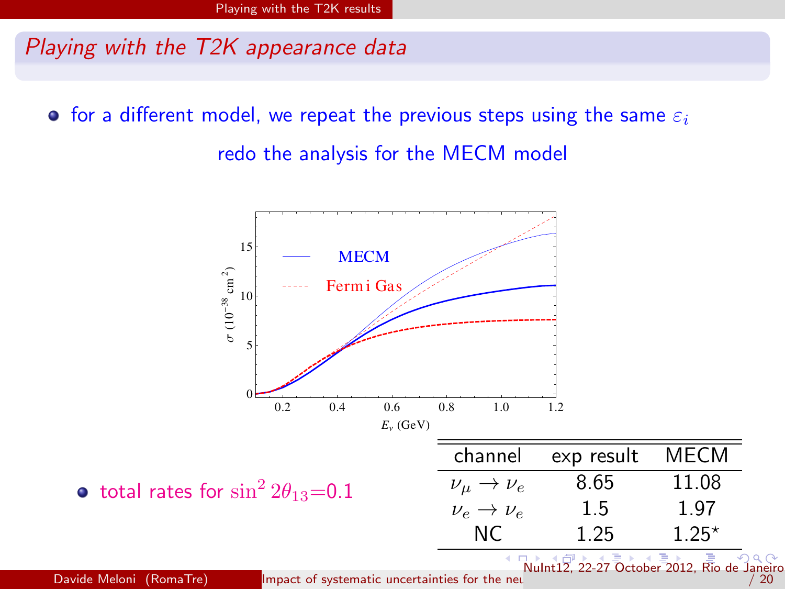**•** for a different model, we repeat the previous steps using the same  $\varepsilon_i$ redo the analysis for the MECM model



Davide Meloni (RomaTre) [Impact of systematic uncertainties for the neutrino parameter measurement in superbeam experiments](#page-0-0) of parameter measurement in superbeam experiments in superbeam experiments of the neutrino paramete

<span id="page-9-0"></span> $\overline{20}$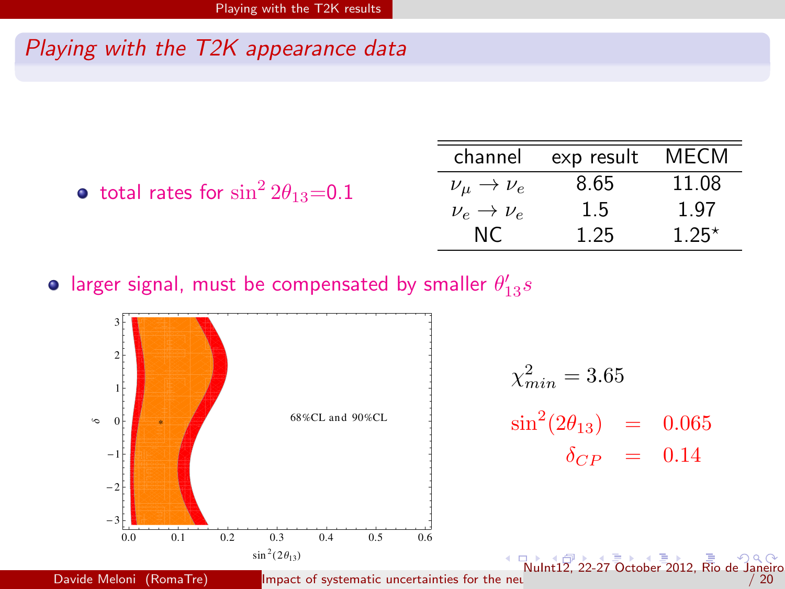|                                               |                                 | channel exp result MECM |         |
|-----------------------------------------------|---------------------------------|-------------------------|---------|
| • total rates for $\sin^2 2\theta_{13} = 0.1$ | $\nu_{\mu} \rightarrow \nu_{e}$ | 8.65                    | 11.08   |
|                                               | $\nu_e \rightarrow \nu_e$       | 1.5                     | 1.97    |
|                                               | NC.                             | 1.25                    | $1.25*$ |
|                                               |                                 |                         |         |

larger signal, must be compensated by smaller  $\theta'_{13}s$ 



<span id="page-10-0"></span> $\overline{20}$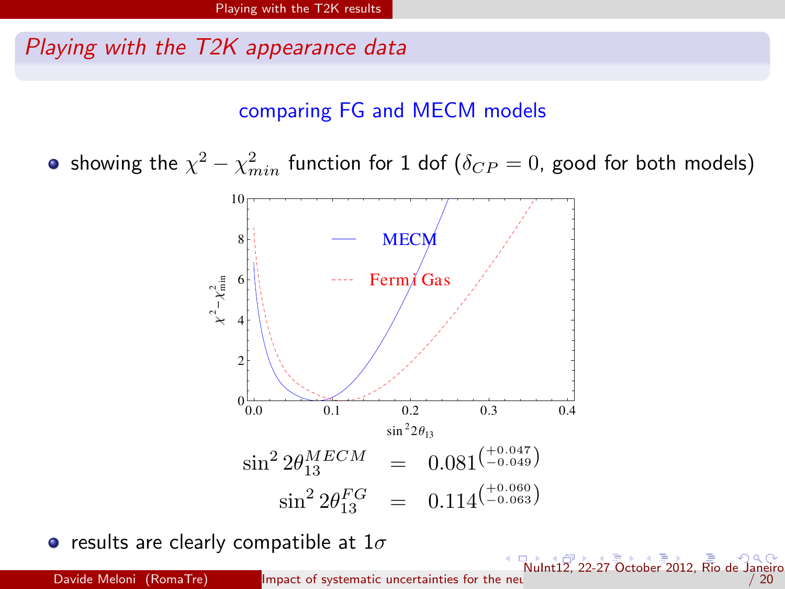comparing FG and MECM models

showing the  $\chi^2-\chi^2_{min}$  function for 1 dof  $(\delta_{CP}=0)$ , good for both models)



• results are clearly compatible at  $1\sigma$ 

Davide Meloni (RomaTre) [Impact of systematic uncertainties for the neutrino parameter measurement in superbeam experiments](#page-0-0) of parameter measurement in superbeam experiments in superbeam experiments of the neutrino paramete

<span id="page-11-0"></span> $\frac{1}{2}$  $\frac{1}{2}$  $\frac{1}{2}$  22-27 October 20[12,](#page-11-0) R[io de](#page-19-0) Janeiro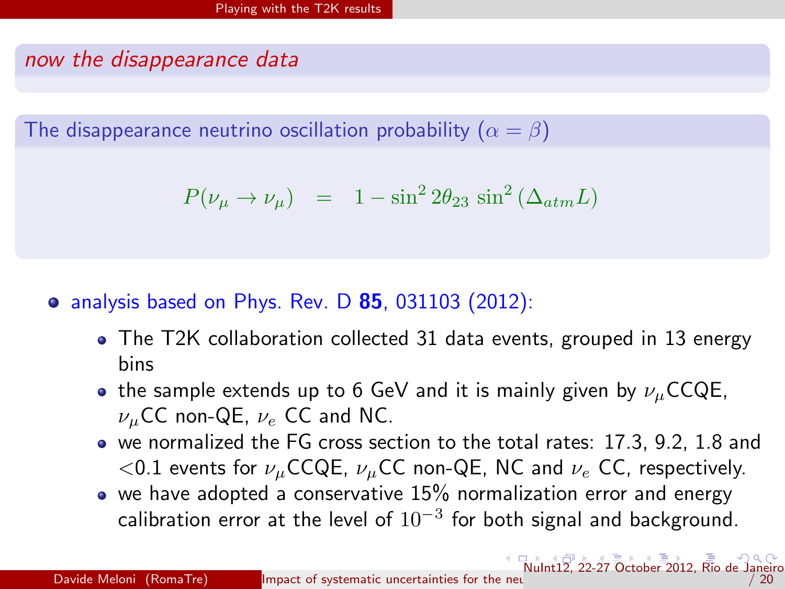#### now the disappearance data

The disappearance neutrino oscillation probability  $(\alpha = \beta)$ 

$$
P(\nu_{\mu} \to \nu_{\mu}) = 1 - \sin^2 2\theta_{23} \sin^2 (\Delta_{atm} L)
$$

#### $\bullet$  analysis based on Phys. Rev. D 85, 031103 (2012):

- The T2K collaboration collected 31 data events, grouped in 13 energy bins
- the sample extends up to 6 GeV and it is mainly given by  $\nu_{\mu}$ CCQE,  $\nu_{\mu}$ CC non-QE,  $\nu_{e}$  CC and NC.
- we normalized the FG cross section to the total rates: 17.3, 9.2, 1.8 and  $<$ 0.1 events for  $\nu_{\mu}$ CCQE,  $\nu_{\mu}$ CC non-QE, NC and  $\nu_{e}$  CC, respectively.
- <span id="page-12-0"></span> $\bullet$  we have adopted a conservative 15% normalization error and energy calibration error at the level of  $10^{-3}$  for both signal and background.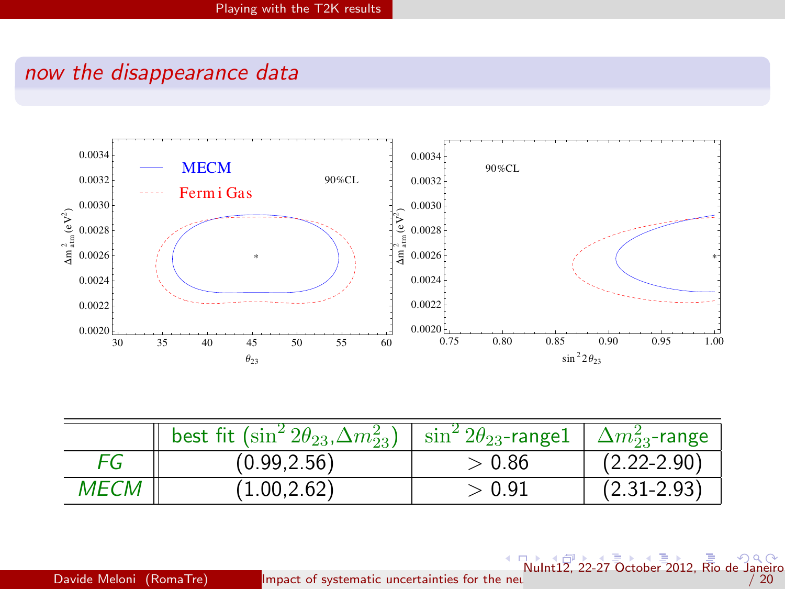## now the disappearance data



|             | best fit $(\sin^2 2\theta_{23}, \Delta m_{23}^2)$   $\sin^2 2\theta_{23}$ -range1   $\Delta m_{23}^2$ -range |       |                 |
|-------------|--------------------------------------------------------------------------------------------------------------|-------|-----------------|
| FG          | (0.99, 2.56)                                                                                                 | >0.86 | $(2.22 - 2.90)$ |
| <i>MECM</i> | (1.00.2.62)                                                                                                  | >0.91 | $(2.31 - 2.93)$ |

<span id="page-13-0"></span>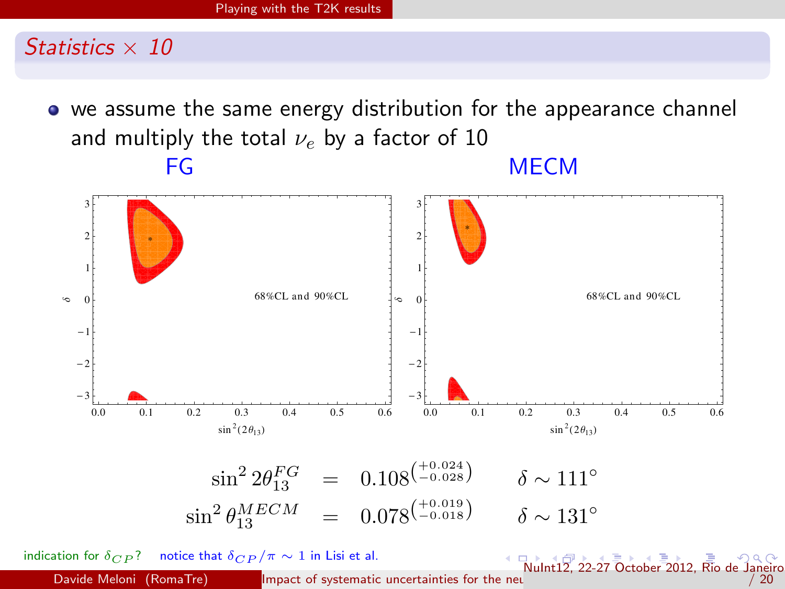

we assume the same energy distribution for the appearance channel and multiply the total  $\nu_e$  by a factor of 10 FG MECM



<span id="page-14-0"></span>indication for  $\delta_{CP}$ ? notice that  $\delta_{CP}/\pi \sim 1$  in Lisi et al. Davide Meloni (RomaTre) [Impact of systematic uncertainties for the neutrino parameter measurement in superbeam experiments](#page-0-0) of parameter measurement in superbeam experiments in superbeam experiments of the neutrino paramete  $\sqrt{N_{\text{ulnt}}^2}$  $\sqrt{N_{\text{ulnt}}^2}$  $\sqrt{N_{\text{ulnt}}^2}$  22-27 October 20[12,](#page-14-0) Rio de Janei[r](#page-9-0)o  $/ 20$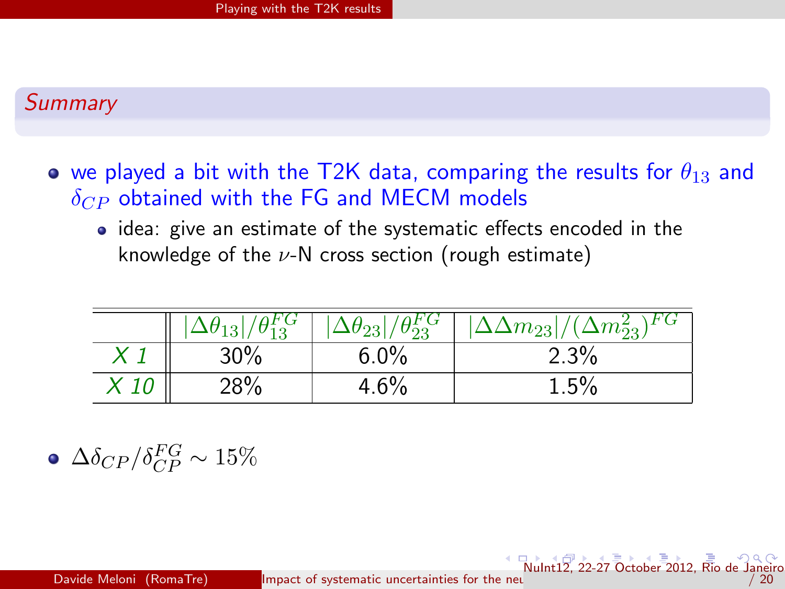#### **Summary**

- we played a bit with the T2K data, comparing the results for  $\theta_{13}$  and  $\delta_{CP}$  obtained with the FG and MECM models
	- idea: give an estimate of the systematic effects encoded in the knowledge of the  $\nu$ -N cross section (rough estimate)

|      | ⊥ບ  | $U_{23}$<br>40 | \r G<br>$(\Delta m_{22}^2)$<br>$ \Delta m_{23} $ |
|------|-----|----------------|--------------------------------------------------|
|      | 30% | 6.0%           | 2.3%                                             |
| . 10 | 28% | 4.6%           | $1.5\%$                                          |

 $\Delta\delta_{CP}/\delta^{FG}_{CP} \sim 15\%$ 

<span id="page-15-0"></span> $\sqrt{\frac{1}{2}}$  $\sqrt{\frac{1}{2}}$  $\sqrt{\frac{1}{2}}$  22-27 October 20[12,](#page-15-0) R[io de](#page-19-0) Jane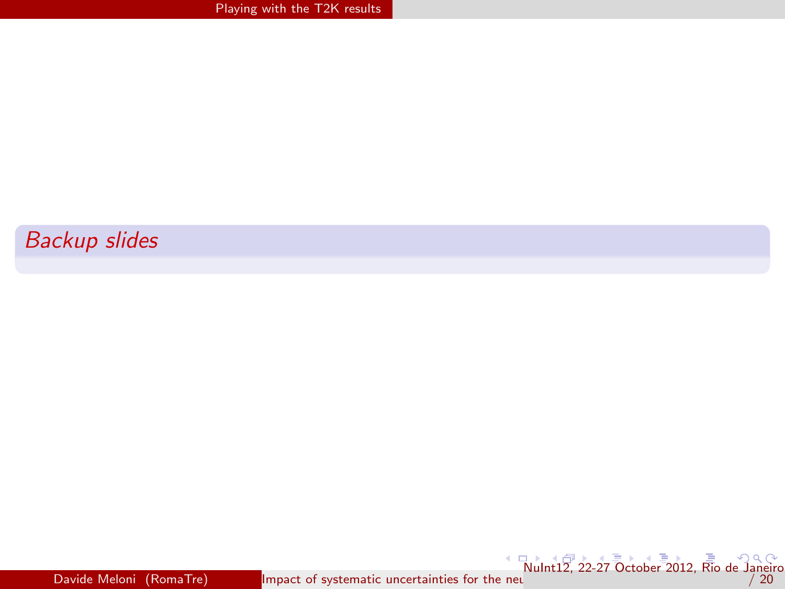#### Backup slides

[NuI](#page-17-0)[nt](#page-15-0)[12,](#page-16-0) [22](#page-17-0)[-2](#page-8-0)[7](#page-9-0) [Octo](#page-19-0)[be](#page-8-0)[r](#page-9-0) [201](#page-19-0)[2, R](#page-0-0)[io de](#page-19-0) Janeiro<br>20 / 20

<span id="page-16-0"></span>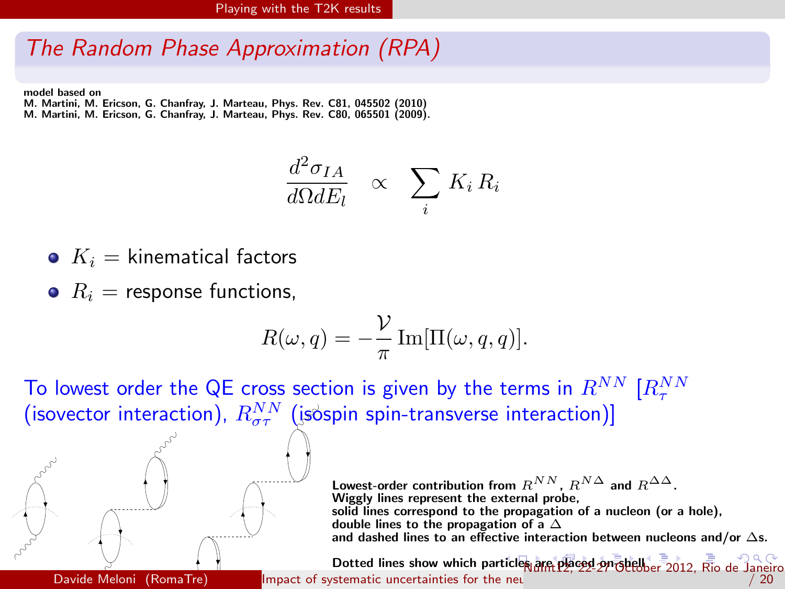### The Random Phase Approximation (RPA)

model based on

M. Martini, M. Ericson, G. Chanfray, J. Marteau, Phys. Rev. C81, 045502 (2010) M. Martini, M. Ericson, G. Chanfray, J. Marteau, Phys. Rev. C80, 065501 (2009).

$$
\frac{d^2\sigma_{IA}}{d\Omega dE_l} \quad \propto \quad \sum_i K_i R_i
$$

- $K_i =$  kinematical factors
- $R_i$  = response functions,

$$
R(\omega, q) = -\frac{\mathcal{V}}{\pi} \operatorname{Im}[\Pi(\omega, q, q)].
$$

To lowest order the QE cross section is given by the terms in  $R^{NN}$   $[R_{\tau}^{NN}]$ (isovector interaction),  $R^{NN}_{\sigma\tau}$  (isospin spin-transverse interaction)]



<span id="page-17-0"></span>Lowest-order contribution from  $R^{NN}$ ,  $R^{N\Delta}$  and  $R^{\Delta\Delta}$ . Wiggly lines represent the external probe, solid lines correspond to the propagation of a nucleon (or a hole), double lines to the propagation of a  $\Delta$ and dashed lines to an effective interaction between nucleons and/or  $\Delta$ s.

Dotted lines show which pa[rticl](#page-16-0)es [ar](#page-18-0)[e](#page-16-0) [plac](#page-17-0)[ed](#page-18-0) [o](#page-8-0)[n-](#page-9-0)[shel](#page-19-0)lbe[r](#page-9-0) [201](#page-19-0)[2, R](#page-0-0)[io de](#page-19-0) Janeiro Davide Meloni (RomaTre) [Impact of systematic uncertainties for the neutrino parameter measurement in superbeam experiments](#page-0-0) of the neutrino parameter measurements in superbeam experiments of the neutrino parameter measureme  $/ 20$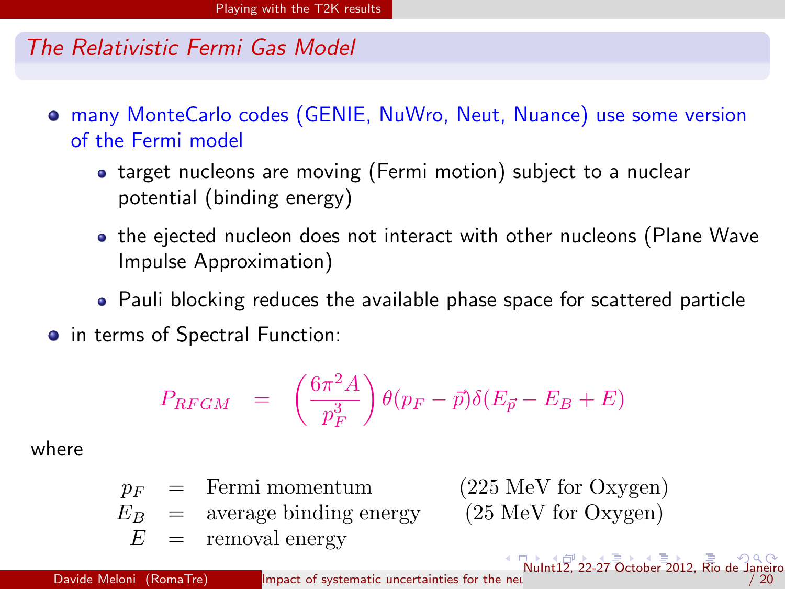#### The Relativistic Fermi Gas Model

- many MonteCarlo codes (GENIE, NuWro, Neut, Nuance) use some version of the Fermi model
	- target nucleons are moving (Fermi motion) subject to a nuclear potential (binding energy)
	- the ejected nucleon does not interact with other nucleons (Plane Wave Impulse Approximation)
	- Pauli blocking reduces the available phase space for scattered particle
- in terms of Spectral Function:

<span id="page-18-0"></span>
$$
P_{RFGM} = \left(\frac{6\pi^2 A}{p_F^3}\right) \theta(p_F - \vec{p}) \delta(E_{\vec{p}} - E_B + E)
$$

where

 $p_F$  = Fermi momentum (225 MeV for Oxygen)  $E_B$  = average binding energy (25 MeV for Oxygen)  $E =$  removal energy  $\sqrt{\frac{1}{2}}$  $\sqrt{\frac{1}{2}}$  $\sqrt{\frac{1}{2}}$  22-27 October 20[12,](#page-18-0) R[io de](#page-19-0) Jan